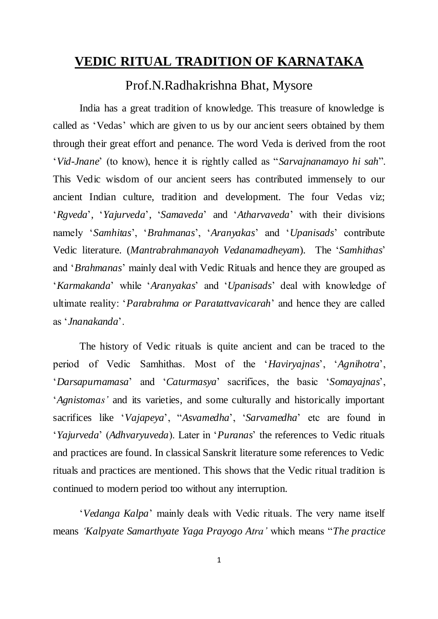## **VEDIC RITUAL TRADITION OF KARNATAKA**

# Prof.N.Radhakrishna Bhat, Mysore

India has a great tradition of knowledge. This treasure of knowledge is called as 'Vedas' which are given to us by our ancient seers obtained by them through their great effort and penance. The word Veda is derived from the root '*Vid-Jnane*' (to know), hence it is rightly called as "*Sarvajnanamayo hi sah*". This Vedic wisdom of our ancient seers has contributed immensely to our ancient Indian culture, tradition and development. The four Vedas viz; '*Rgveda*', '*Yajurveda*', '*Samaveda*' and '*Atharvaveda*' with their divisions namely '*Samhitas*', '*Brahmanas*', '*Aranyakas*' and '*Upanisads*' contribute Vedic literature. (*Mantrabrahmanayoh Vedanamadheyam*). The '*Samhithas*' and '*Brahmanas*' mainly deal with Vedic Rituals and hence they are grouped as '*Karmakanda*' while '*Aranyakas*' and '*Upanisads*' deal with knowledge of ultimate reality: '*Parabrahma or Paratattvavicarah*' and hence they are called as '*Jnanakanda*'.

The history of Vedic rituals is quite ancient and can be traced to the period of Vedic Samhithas. Most of the '*Haviryajnas*', '*Agnihotra*', '*Darsapurnamasa*' and '*Caturmasya*' sacrifices, the basic '*Somayajnas*', '*Agnistomas'* and its varieties, and some culturally and historically important sacrifices like '*Vajapeya*', "*Asvamedha*', '*Sarvamedha*' etc are found in '*Yajurveda*' (*Adhvaryuveda*). Later in '*Puranas*' the references to Vedic rituals and practices are found. In classical Sanskrit literature some references to Vedic rituals and practices are mentioned. This shows that the Vedic ritual tradition is continued to modern period too without any interruption.

'*Vedanga Kalpa*' mainly deals with Vedic rituals. The very name itself means *'Kalpyate Samarthyate Yaga Prayogo Atra'* which means "*The practice*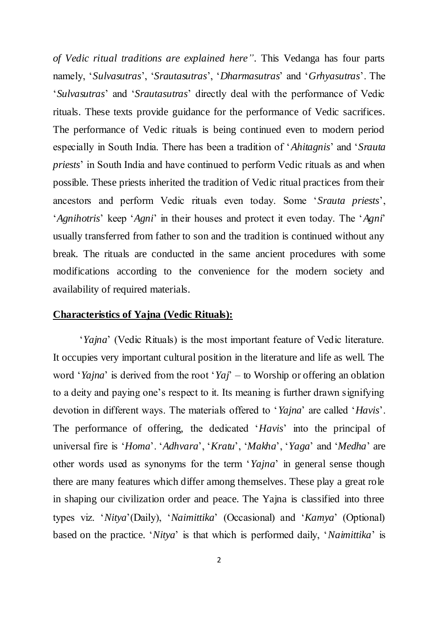*of Vedic ritual traditions are explained here"*. This Vedanga has four parts namely, '*Sulvasutras*', '*Srautasutras*', '*Dharmasutras*' and '*Grhyasutras*'. The '*Sulvasutras*' and '*Srautasutras*' directly deal with the performance of Vedic rituals. These texts provide guidance for the performance of Vedic sacrifices. The performance of Vedic rituals is being continued even to modern period especially in South India. There has been a tradition of '*Ahitagnis*' and '*Srauta priests*' in South India and have continued to perform Vedic rituals as and when possible. These priests inherited the tradition of Vedic ritual practices from their ancestors and perform Vedic rituals even today. Some '*Srauta priests*', '*Agnihotris*' keep '*Agni*' in their houses and protect it even today. The '*Agni*' usually transferred from father to son and the tradition is continued without any break. The rituals are conducted in the same ancient procedures with some modifications according to the convenience for the modern society and availability of required materials.

#### **Characteristics of Yajna (Vedic Rituals):**

'*Yajna*' (Vedic Rituals) is the most important feature of Vedic literature. It occupies very important cultural position in the literature and life as well. The word '*Yajna*' is derived from the root '*Yaj*' – to Worship or offering an oblation to a deity and paying one's respect to it. Its meaning is further drawn signifying devotion in different ways. The materials offered to '*Yajna*' are called '*Havis*'. The performance of offering, the dedicated '*Havis*' into the principal of universal fire is '*Homa*'. '*Adhvara*', '*Kratu*', '*Makha*', '*Yaga*' and '*Medha*' are other words used as synonyms for the term '*Yajna*' in general sense though there are many features which differ among themselves. These play a great role in shaping our civilization order and peace. The Yajna is classified into three types viz. '*Nitya*'(Daily), '*Naimittika*' (Occasional) and '*Kamya*' (Optional) based on the practice. '*Nitya*' is that which is performed daily, '*Naimittika*' is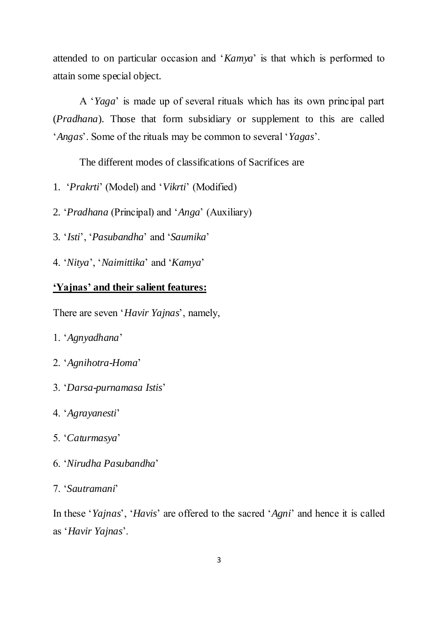attended to on particular occasion and '*Kamya*' is that which is performed to attain some special object.

A '*Yaga*' is made up of several rituals which has its own principal part (*Pradhana*). Those that form subsidiary or supplement to this are called '*Angas*'. Some of the rituals may be common to several '*Yagas*'.

The different modes of classifications of Sacrifices are

1. '*Prakrti*' (Model) and '*Vikrti*' (Modified)

2. '*Pradhana* (Principal) and '*Anga*' (Auxiliary)

- 3. '*Isti*', '*Pasubandha*' and '*Saumika*'
- 4. '*Nitya*', '*Naimittika*' and '*Kamya*'

### **'Yajnas' and their salient features:**

There are seven '*Havir Yajnas*', namely,

- 1. '*Agnyadhana*'
- 2. '*Agnihotra-Homa*'
- 3. '*Darsa-purnamasa Istis*'
- 4. '*Agrayanesti*'
- 5. '*Caturmasya*'
- 6. '*Nirudha Pasubandha*'

#### 7. '*Sautramani*'

In these '*Yajnas*', '*Havis*' are offered to the sacred '*Agni*' and hence it is called as '*Havir Yajnas*'.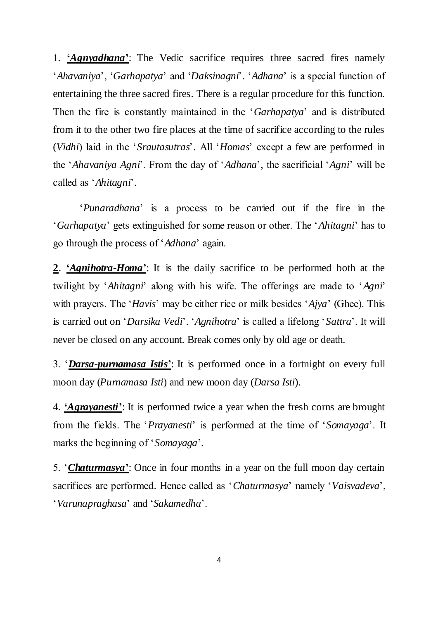1. **'***Agnyadhana***'**: The Vedic sacrifice requires three sacred fires namely '*Ahavaniya*', '*Garhapatya*' and '*Daksinagni*'. '*Adhana*' is a special function of entertaining the three sacred fires. There is a regular procedure for this function. Then the fire is constantly maintained in the '*Garhapatya*' and is distributed from it to the other two fire places at the time of sacrifice according to the rules (*Vidhi*) laid in the '*Srautasutras*'. All '*Homas*' except a few are performed in the '*Ahavaniya Agni*'. From the day of '*Adhana*', the sacrificial '*Agni*' will be called as '*Ahitagni*'.

'*Punaradhana*' is a process to be carried out if the fire in the '*Garhapatya*' gets extinguished for some reason or other. The '*Ahitagni*' has to go through the process of '*Adhana*' again.

**2**. **'***Agnihotra-Homa***'**: It is the daily sacrifice to be performed both at the twilight by '*Ahitagni*' along with his wife. The offerings are made to '*Agni*' with prayers. The '*Havis*' may be either rice or milk besides '*Ajya*' (Ghee). This is carried out on '*Darsika Vedi*'. '*Agnihotra*' is called a lifelong '*Sattra*'. It will never be closed on any account. Break comes only by old age or death.

3. '*Darsa-purnamasa Istis***'**: It is performed once in a fortnight on every full moon day (*Purnamasa Isti*) and new moon day (*Darsa Isti*).

4. **'***Agrayanesti***'**: It is performed twice a year when the fresh corns are brought from the fields. The '*Prayanesti*' is performed at the time of '*Somayaga*'. It marks the beginning of '*Somayaga*'.

5. '*Chaturmasya***'**: Once in four months in a year on the full moon day certain sacrifices are performed. Hence called as '*Chaturmasya*' namely '*Vaisvadeva*', '*Varunapraghasa*' and '*Sakamedha*'.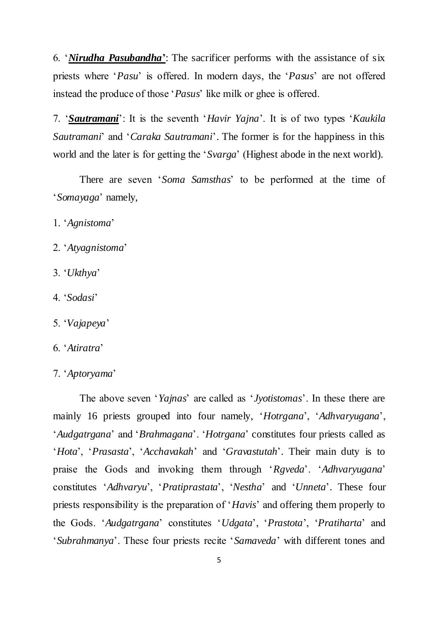6. '*Nirudha Pasubandha***'**: The sacrificer performs with the assistance of six priests where '*Pasu*' is offered. In modern days, the '*Pasus*' are not offered instead the produce of those '*Pasus*' like milk or ghee is offered.

7. '*Sautramani*': It is the seventh '*Havir Yajna*'. It is of two types '*Kaukila Sautramani*' and '*Caraka Sautramani*'. The former is for the happiness in this world and the later is for getting the '*Svarga*' (Highest abode in the next world).

There are seven '*Soma Samsthas*' to be performed at the time of '*Somayaga*' namely,

- 1. '*Agnistoma*'
- 2. '*Atyagnistoma*'
- 3. '*Ukthya*'
- 4. '*Sodasi*'
- 5. '*Vajapeya*'
- 6. '*Atiratra*'
- 7. '*Aptoryama*'

The above seven '*Yajnas*' are called as '*Jyotistomas*'. In these there are mainly 16 priests grouped into four namely, '*Hotrgana*', '*Adhvaryugana*', '*Audgatrgana*' and '*Brahmagana*'. '*Hotrgana*' constitutes four priests called as '*Hota*', '*Prasasta*', '*Acchavakah*' and '*Gravastutah*'. Their main duty is to praise the Gods and invoking them through '*Rgveda*'. '*Adhvaryugana*' constitutes '*Adhvaryu*', '*Pratiprastata*', '*Nestha*' and '*Unneta*'. These four priests responsibility is the preparation of '*Havis*' and offering them properly to the Gods. '*Audgatrgana*' constitutes '*Udgata*', '*Prastota*', '*Pratiharta*' and '*Subrahmanya*'. These four priests recite '*Samaveda*' with different tones and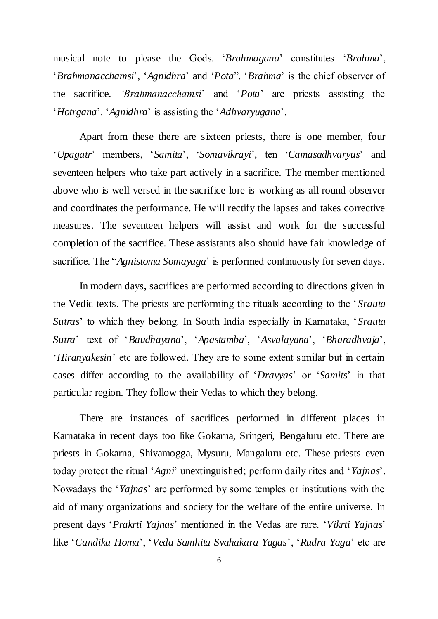musical note to please the Gods. '*Brahmagana*' constitutes '*Brahma*', '*Brahmanacchamsi*', '*Agnidhra*' and '*Pota*". '*Brahma*' is the chief observer of the sacrifice. *'Brahmanacchamsi*' and '*Pota*' are priests assisting the '*Hotrgana*'. '*Agnidhra*' is assisting the '*Adhvaryugana*'.

Apart from these there are sixteen priests, there is one member, four '*Upagatr*' members, '*Samita*', '*Somavikrayi*', ten '*Camasadhvaryus*' and seventeen helpers who take part actively in a sacrifice. The member mentioned above who is well versed in the sacrifice lore is working as all round observer and coordinates the performance. He will rectify the lapses and takes corrective measures. The seventeen helpers will assist and work for the successful completion of the sacrifice. These assistants also should have fair knowledge of sacrifice. The "*Agnistoma Somayaga*' is performed continuously for seven days.

In modern days, sacrifices are performed according to directions given in the Vedic texts. The priests are performing the rituals according to the '*Srauta Sutras*' to which they belong. In South India especially in Karnataka, '*Srauta Sutra*' text of '*Baudhayana*', '*Apastamba*', '*Asvalayana*', '*Bharadhvaja*', '*Hiranyakesin*' etc are followed. They are to some extent similar but in certain cases differ according to the availability of '*Dravyas*' or '*Samits*' in that particular region. They follow their Vedas to which they belong.

There are instances of sacrifices performed in different places in Karnataka in recent days too like Gokarna, Sringeri, Bengaluru etc. There are priests in Gokarna, Shivamogga, Mysuru, Mangaluru etc. These priests even today protect the ritual '*Agni*' unextinguished; perform daily rites and '*Yajnas*'. Nowadays the '*Yajnas*' are performed by some temples or institutions with the aid of many organizations and society for the welfare of the entire universe. In present days '*Prakrti Yajnas*' mentioned in the Vedas are rare. '*Vikrti Yajnas*' like '*Candika Homa*', '*Veda Samhita Svahakara Yagas*', '*Rudra Yaga*' etc are